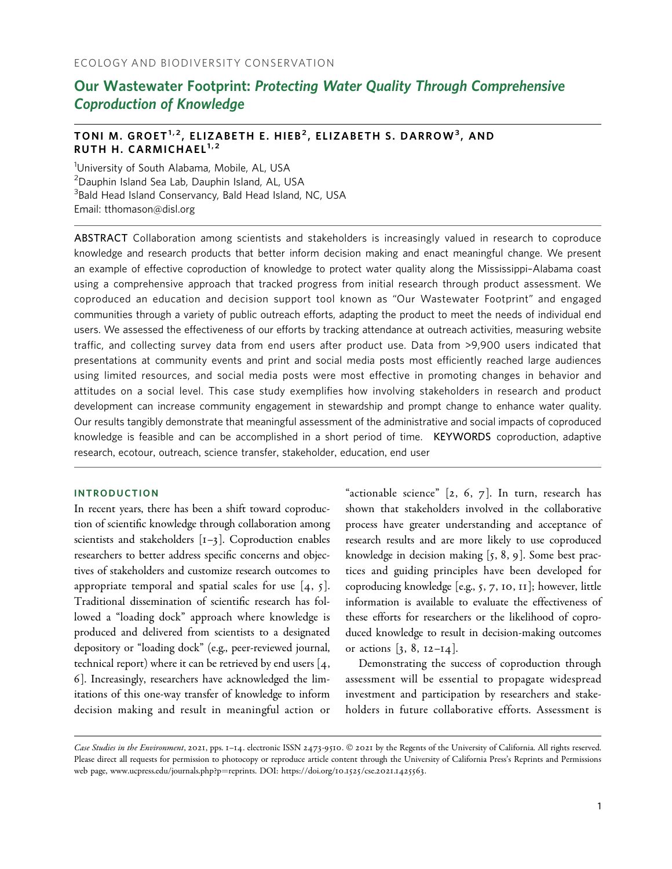# Our Wastewater Footprint: Protecting Water Quality Through Comprehensive Coproduction of Knowledge

# TONI M. GROET<sup>1,2</sup>, ELIZABETH E. HIEB<sup>2</sup>, ELIZABETH S. DARROW<sup>3</sup>, AND RUTH H. CARMICHAEL $1,2$

<sup>1</sup>University of South Alabama, Mobile, AL, USA <sup>2</sup>Dauphin Island Sea Lab, Dauphin Island, AL, USA <sup>3</sup>Bald Head Island Conservancy, Bald Head Island, NC, USA Email: tthomason@disl.org

ABSTRACT Collaboration among scientists and stakeholders is increasingly valued in research to coproduce knowledge and research products that better inform decision making and enact meaningful change. We present an example of effective coproduction of knowledge to protect water quality along the Mississippi–Alabama coast using a comprehensive approach that tracked progress from initial research through product assessment. We coproduced an education and decision support tool known as "Our Wastewater Footprint" and engaged communities through a variety of public outreach efforts, adapting the product to meet the needs of individual end users. We assessed the effectiveness of our efforts by tracking attendance at outreach activities, measuring website traffic, and collecting survey data from end users after product use. Data from >9,900 users indicated that presentations at community events and print and social media posts most efficiently reached large audiences using limited resources, and social media posts were most effective in promoting changes in behavior and attitudes on a social level. This case study exemplifies how involving stakeholders in research and product development can increase community engagement in stewardship and prompt change to enhance water quality. Our results tangibly demonstrate that meaningful assessment of the administrative and social impacts of coproduced knowledge is feasible and can be accomplished in a short period of time. KEYWORDS coproduction, adaptive research, ecotour, outreach, science transfer, stakeholder, education, end user

# INTRODUCTION

In recent years, there has been a shift toward coproduction of scientific knowledge through collaboration among scientists and stakeholders  $[I-3]$ . Coproduction enables researchers to better address specific concerns and objectives of stakeholders and customize research outcomes to appropriate temporal and spatial scales for use  $[4, 5]$ . Traditional dissemination of scientific research has followed a "loading dock" approach where knowledge is produced and delivered from scientists to a designated depository or "loading dock" (e.g., peer-reviewed journal, technical report) where it can be retrieved by end users [4, 6]. Increasingly, researchers have acknowledged the limitations of this one-way transfer of knowledge to inform decision making and result in meaningful action or "actionable science"  $[2, 6, 7]$ . In turn, research has shown that stakeholders involved in the collaborative process have greater understanding and acceptance of research results and are more likely to use coproduced knowledge in decision making [5, 8, 9]. Some best practices and guiding principles have been developed for coproducing knowledge [e.g., 5, 7, 10, 11]; however, little information is available to evaluate the effectiveness of these efforts for researchers or the likelihood of coproduced knowledge to result in decision-making outcomes or actions  $[3, 8, 12-14]$ .

Demonstrating the success of coproduction through assessment will be essential to propagate widespread investment and participation by researchers and stakeholders in future collaborative efforts. Assessment is

Case Studies in the Environment, 2021, pps. 1-14. electronic ISSN 2473-9510. © 2021 by the Regents of the University of California. All rights reserved. Please direct all requests for permission to photocopy or reproduce article content through the University of California Press's Reprints and Permissions web page, [www.ucpress.edu/journals.php?p](https://www.ucpress.edu/journals.php?p=reprints)=[reprints](https://www.ucpress.edu/journals.php?p=reprints). [DOI: https://doi.org/](https://doi.org/10.1525/cse.2021.1425563.)10.1525/cse.2021.1425563.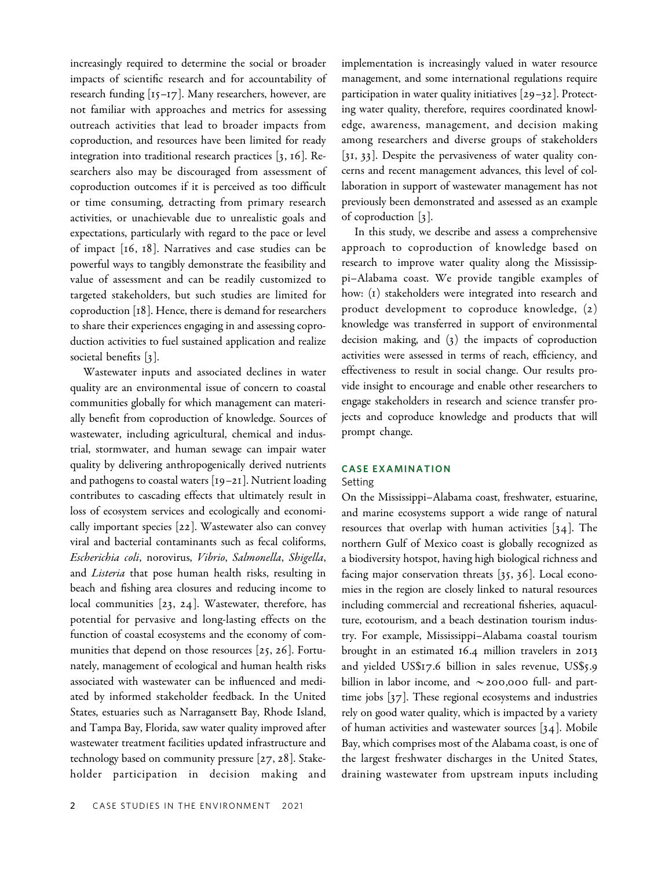increasingly required to determine the social or broader impacts of scientific research and for accountability of research funding [15–17]. Many researchers, however, are not familiar with approaches and metrics for assessing outreach activities that lead to broader impacts from coproduction, and resources have been limited for ready integration into traditional research practices [3, 16]. Researchers also may be discouraged from assessment of coproduction outcomes if it is perceived as too difficult or time consuming, detracting from primary research activities, or unachievable due to unrealistic goals and expectations, particularly with regard to the pace or level of impact [16, 18]. Narratives and case studies can be powerful ways to tangibly demonstrate the feasibility and value of assessment and can be readily customized to targeted stakeholders, but such studies are limited for coproduction [18]. Hence, there is demand for researchers to share their experiences engaging in and assessing coproduction activities to fuel sustained application and realize societal benefits [3].

Wastewater inputs and associated declines in water quality are an environmental issue of concern to coastal communities globally for which management can materially benefit from coproduction of knowledge. Sources of wastewater, including agricultural, chemical and industrial, stormwater, and human sewage can impair water quality by delivering anthropogenically derived nutrients and pathogens to coastal waters [19–21]. Nutrient loading contributes to cascading effects that ultimately result in loss of ecosystem services and ecologically and economically important species [22]. Wastewater also can convey viral and bacterial contaminants such as fecal coliforms, Escherichia coli, norovirus, Vibrio, Salmonella, Shigella, and Listeria that pose human health risks, resulting in beach and fishing area closures and reducing income to local communities [23, 24]. Wastewater, therefore, has potential for pervasive and long-lasting effects on the function of coastal ecosystems and the economy of communities that depend on those resources [25, 26]. Fortunately, management of ecological and human health risks associated with wastewater can be influenced and mediated by informed stakeholder feedback. In the United States, estuaries such as Narragansett Bay, Rhode Island, and Tampa Bay, Florida, saw water quality improved after wastewater treatment facilities updated infrastructure and technology based on community pressure [27, 28]. Stakeholder participation in decision making and

implementation is increasingly valued in water resource management, and some international regulations require participation in water quality initiatives [29–32]. Protecting water quality, therefore, requires coordinated knowledge, awareness, management, and decision making among researchers and diverse groups of stakeholders [31, 33]. Despite the pervasiveness of water quality concerns and recent management advances, this level of collaboration in support of wastewater management has not previously been demonstrated and assessed as an example of coproduction [3].

In this study, we describe and assess a comprehensive approach to coproduction of knowledge based on research to improve water quality along the Mississippi–Alabama coast. We provide tangible examples of how: (1) stakeholders were integrated into research and product development to coproduce knowledge, (2) knowledge was transferred in support of environmental decision making, and (3) the impacts of coproduction activities were assessed in terms of reach, efficiency, and effectiveness to result in social change. Our results provide insight to encourage and enable other researchers to engage stakeholders in research and science transfer projects and coproduce knowledge and products that will prompt change.

# CASE EXAMINATION

#### Setting

On the Mississippi–Alabama coast, freshwater, estuarine, and marine ecosystems support a wide range of natural resources that overlap with human activities  $[34]$ . The northern Gulf of Mexico coast is globally recognized as a biodiversity hotspot, having high biological richness and facing major conservation threats [35, 36]. Local economies in the region are closely linked to natural resources including commercial and recreational fisheries, aquaculture, ecotourism, and a beach destination tourism industry. For example, Mississippi–Alabama coastal tourism brought in an estimated 16.4 million travelers in 2013 and yielded US\$17.6 billion in sales revenue, US\$5.9 billion in labor income, and  $\sim$  200,000 full- and parttime jobs [37]. These regional ecosystems and industries rely on good water quality, which is impacted by a variety of human activities and wastewater sources [34]. Mobile Bay, which comprises most of the Alabama coast, is one of the largest freshwater discharges in the United States, draining wastewater from upstream inputs including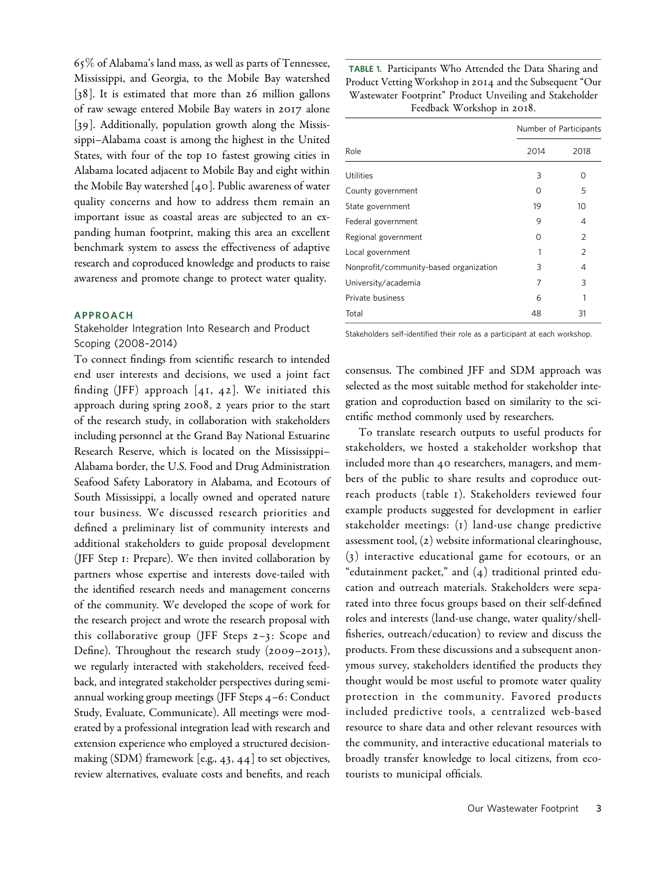$65\%$  of Alabama's land mass, as well as parts of Tennessee, Mississippi, and Georgia, to the Mobile Bay watershed [38]. It is estimated that more than 26 million gallons of raw sewage entered Mobile Bay waters in 2017 alone [39]. Additionally, population growth along the Mississippi–Alabama coast is among the highest in the United States, with four of the top 10 fastest growing cities in Alabama located adjacent to Mobile Bay and eight within the Mobile Bay watershed [40]. Public awareness of water quality concerns and how to address them remain an important issue as coastal areas are subjected to an expanding human footprint, making this area an excellent benchmark system to assess the effectiveness of adaptive research and coproduced knowledge and products to raise awareness and promote change to protect water quality.

#### APPROACH

# Stakeholder Integration Into Research and Product Scoping (2008–2014)

To connect findings from scientific research to intended end user interests and decisions, we used a joint fact finding (JFF) approach  $[4I, 42]$ . We initiated this approach during spring 2008, 2 years prior to the start of the research study, in collaboration with stakeholders including personnel at the Grand Bay National Estuarine Research Reserve, which is located on the Mississippi– Alabama border, the U.S. Food and Drug Administration Seafood Safety Laboratory in Alabama, and Ecotours of South Mississippi, a locally owned and operated nature tour business. We discussed research priorities and defined a preliminary list of community interests and additional stakeholders to guide proposal development (JFF Step 1: Prepare). We then invited collaboration by partners whose expertise and interests dove-tailed with the identified research needs and management concerns of the community. We developed the scope of work for the research project and wrote the research proposal with this collaborative group (JFF Steps 2–3: Scope and Define). Throughout the research study (2009–2013), we regularly interacted with stakeholders, received feedback, and integrated stakeholder perspectives during semiannual working group meetings (JFF Steps 4–6: Conduct Study, Evaluate, Communicate). All meetings were moderated by a professional integration lead with research and extension experience who employed a structured decisionmaking (SDM) framework [e.g., 43, 44] to set objectives, review alternatives, evaluate costs and benefits, and reach

TABLE 1. Participants Who Attended the Data Sharing and Product Vetting Workshop in 2014 and the Subsequent "Our Wastewater Footprint" Product Unveiling and Stakeholder Feedback Workshop in 2018.

| 2014 | 2018                   |
|------|------------------------|
| 3    | Ω                      |
| 0    | 5                      |
| 19   | 10                     |
| 9    | 4                      |
| O    | $\overline{2}$         |
|      | $\overline{2}$         |
| 3    | 4                      |
| 7    | 3                      |
| 6    | 1                      |
| 48   | 31                     |
|      | Number of Participants |

Stakeholders self-identified their role as a participant at each workshop.

consensus. The combined JFF and SDM approach was selected as the most suitable method for stakeholder integration and coproduction based on similarity to the scientific method commonly used by researchers.

To translate research outputs to useful products for stakeholders, we hosted a stakeholder workshop that included more than 40 researchers, managers, and members of the public to share results and coproduce outreach products (table 1). Stakeholders reviewed four example products suggested for development in earlier stakeholder meetings: (1) land-use change predictive assessment tool, (2) website informational clearinghouse, (3) interactive educational game for ecotours, or an "edutainment packet," and  $(4)$  traditional printed education and outreach materials. Stakeholders were separated into three focus groups based on their self-defined roles and interests (land-use change, water quality/shellfisheries, outreach/education) to review and discuss the products. From these discussions and a subsequent anonymous survey, stakeholders identified the products they thought would be most useful to promote water quality protection in the community. Favored products included predictive tools, a centralized web-based resource to share data and other relevant resources with the community, and interactive educational materials to broadly transfer knowledge to local citizens, from ecotourists to municipal officials.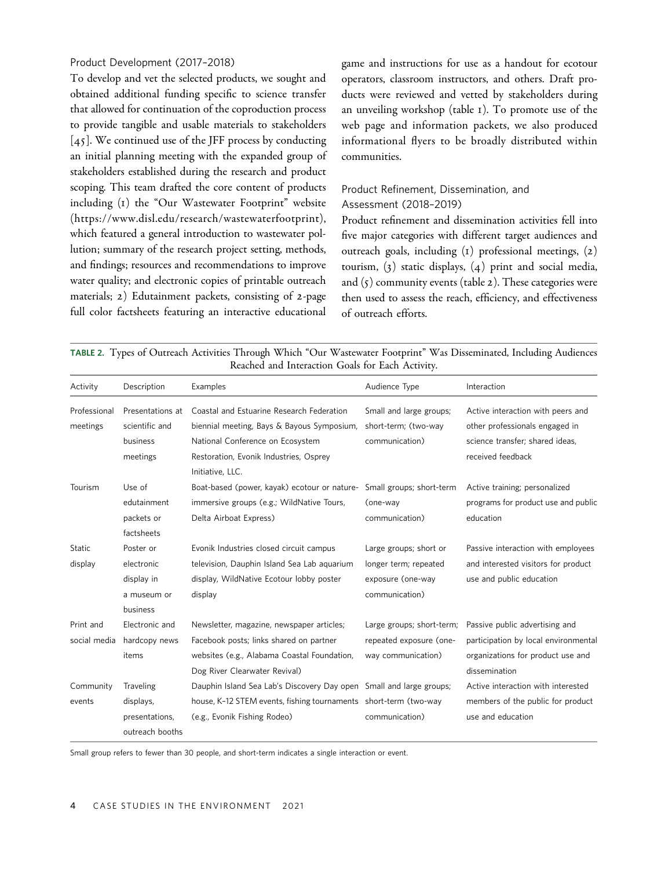# Product Development (2017–2018)

To develop and vet the selected products, we sought and obtained additional funding specific to science transfer that allowed for continuation of the coproduction process to provide tangible and usable materials to stakeholders [45]. We continued use of the JFF process by conducting an initial planning meeting with the expanded group of stakeholders established during the research and product scoping. This team drafted the core content of products including (1) the "Our Wastewater Footprint" website (<https://www.disl.edu/research/wastewaterfootprint>), which featured a general introduction to wastewater pollution; summary of the research project setting, methods, and findings; resources and recommendations to improve water quality; and electronic copies of printable outreach materials; 2) Edutainment packets, consisting of 2-page full color factsheets featuring an interactive educational

game and instructions for use as a handout for ecotour operators, classroom instructors, and others. Draft products were reviewed and vetted by stakeholders during an unveiling workshop (table 1). To promote use of the web page and information packets, we also produced informational flyers to be broadly distributed within communities.

# Product Refinement, Dissemination, and Assessment (2018–2019)

Product refinement and dissemination activities fell into five major categories with different target audiences and outreach goals, including (1) professional meetings, (2) tourism, (3) static displays, (4) print and social media, and  $(5)$  community events (table 2). These categories were then used to assess the reach, efficiency, and effectiveness of outreach efforts.

TABLE 2. Types of Outreach Activities Through Which "Our Wastewater Footprint" Was Disseminated, Including Audiences Reached and Interaction Goals for Each Activity.

| Activity     | Description      | Examples                                                            | Audience Type             | Interaction                          |
|--------------|------------------|---------------------------------------------------------------------|---------------------------|--------------------------------------|
| Professional | Presentations at | Coastal and Estuarine Research Federation                           | Small and large groups;   | Active interaction with peers and    |
| meetings     | scientific and   | biennial meeting, Bays & Bayous Symposium,                          | short-term; (two-way      | other professionals engaged in       |
|              | business         | National Conference on Ecosystem                                    | communication)            | science transfer; shared ideas,      |
|              | meetings         | Restoration, Evonik Industries, Osprey                              |                           | received feedback                    |
|              |                  | Initiative, LLC.                                                    |                           |                                      |
| Tourism      | Use of           | Boat-based (power, kayak) ecotour or nature-                        | Small groups; short-term  | Active training; personalized        |
|              | edutainment      | immersive groups (e.g.; WildNative Tours,                           | (one-way                  | programs for product use and public  |
|              | packets or       | Delta Airboat Express)                                              | communication)            | education                            |
|              | factsheets       |                                                                     |                           |                                      |
| Static       | Poster or        | Evonik Industries closed circuit campus                             | Large groups; short or    | Passive interaction with employees   |
| display      | electronic       | television, Dauphin Island Sea Lab aquarium                         | longer term; repeated     | and interested visitors for product  |
|              | display in       | display, WildNative Ecotour lobby poster                            | exposure (one-way         | use and public education             |
|              | a museum or      | display                                                             | communication)            |                                      |
|              | business         |                                                                     |                           |                                      |
| Print and    | Electronic and   | Newsletter, magazine, newspaper articles;                           | Large groups; short-term; | Passive public advertising and       |
| social media | hardcopy news    | Facebook posts; links shared on partner                             | repeated exposure (one-   | participation by local environmental |
|              | items            | websites (e.g., Alabama Coastal Foundation,                         | way communication)        | organizations for product use and    |
|              |                  | Dog River Clearwater Revival)                                       |                           | dissemination                        |
| Community    | Traveling        | Dauphin Island Sea Lab's Discovery Day open Small and large groups; |                           | Active interaction with interested   |
| events       | displays,        | house, K-12 STEM events, fishing tournaments short-term (two-way    |                           | members of the public for product    |
|              | presentations,   | (e.g., Evonik Fishing Rodeo)                                        | communication)            | use and education                    |
|              | outreach booths  |                                                                     |                           |                                      |

Small group refers to fewer than 30 people, and short-term indicates a single interaction or event.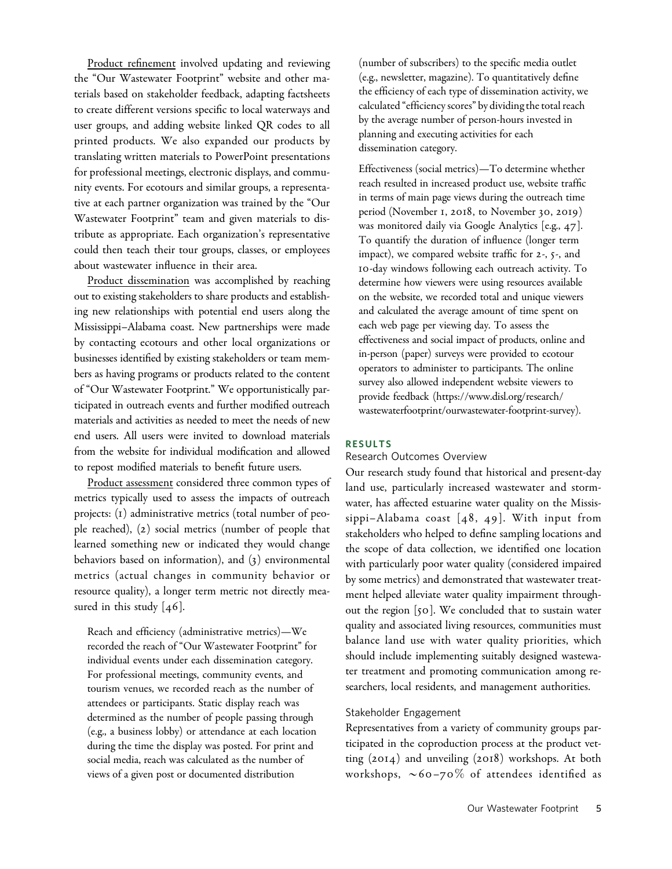Product refinement involved updating and reviewing the "Our Wastewater Footprint" website and other materials based on stakeholder feedback, adapting factsheets to create different versions specific to local waterways and user groups, and adding website linked QR codes to all printed products. We also expanded our products by translating written materials to PowerPoint presentations for professional meetings, electronic displays, and community events. For ecotours and similar groups, a representative at each partner organization was trained by the "Our Wastewater Footprint" team and given materials to distribute as appropriate. Each organization's representative could then teach their tour groups, classes, or employees about wastewater influence in their area.

Product dissemination was accomplished by reaching out to existing stakeholders to share products and establishing new relationships with potential end users along the Mississippi–Alabama coast. New partnerships were made by contacting ecotours and other local organizations or businesses identified by existing stakeholders or team members as having programs or products related to the content of "Our Wastewater Footprint." We opportunistically participated in outreach events and further modified outreach materials and activities as needed to meet the needs of new end users. All users were invited to download materials from the website for individual modification and allowed to repost modified materials to benefit future users.

Product assessment considered three common types of metrics typically used to assess the impacts of outreach projects: (1) administrative metrics (total number of people reached), (2) social metrics (number of people that learned something new or indicated they would change behaviors based on information), and (3) environmental metrics (actual changes in community behavior or resource quality), a longer term metric not directly measured in this study [46].

Reach and efficiency (administrative metrics)—We recorded the reach of "Our Wastewater Footprint" for individual events under each dissemination category. For professional meetings, community events, and tourism venues, we recorded reach as the number of attendees or participants. Static display reach was determined as the number of people passing through (e.g., a business lobby) or attendance at each location during the time the display was posted. For print and social media, reach was calculated as the number of views of a given post or documented distribution

(number of subscribers) to the specific media outlet (e.g., newsletter, magazine). To quantitatively define the efficiency of each type of dissemination activity, we calculated "efficiency scores" by dividing the total reach by the average number of person-hours invested in planning and executing activities for each dissemination category.

Effectiveness (social metrics)—To determine whether reach resulted in increased product use, website traffic in terms of main page views during the outreach time period (November 1, 2018, to November 30, 2019) was monitored daily via Google Analytics [e.g., 47]. To quantify the duration of influence (longer term impact), we compared website traffic for 2-, 5-, and 10-day windows following each outreach activity. To determine how viewers were using resources available on the website, we recorded total and unique viewers and calculated the average amount of time spent on each web page per viewing day. To assess the effectiveness and social impact of products, online and in-person (paper) surveys were provided to ecotour operators to administer to participants. The online survey also allowed independent website viewers to provide feedback ([https://www.disl.org/research/](https://www.disl.org/research/wastewaterfootprint/ourwastewater-footprint-survey) [wastewaterfootprint/ourwastewater-footprint-survey](https://www.disl.org/research/wastewaterfootprint/ourwastewater-footprint-survey)).

# RESULTS

#### Research Outcomes Overview

Our research study found that historical and present-day land use, particularly increased wastewater and stormwater, has affected estuarine water quality on the Mississippi-Alabama coast  $[48, 49]$ . With input from stakeholders who helped to define sampling locations and the scope of data collection, we identified one location with particularly poor water quality (considered impaired by some metrics) and demonstrated that wastewater treatment helped alleviate water quality impairment throughout the region [50]. We concluded that to sustain water quality and associated living resources, communities must balance land use with water quality priorities, which should include implementing suitably designed wastewater treatment and promoting communication among researchers, local residents, and management authorities.

# Stakeholder Engagement

Representatives from a variety of community groups participated in the coproduction process at the product vetting (2014) and unveiling (2018) workshops. At both workshops,  $\sim 60 - 70\%$  of attendees identified as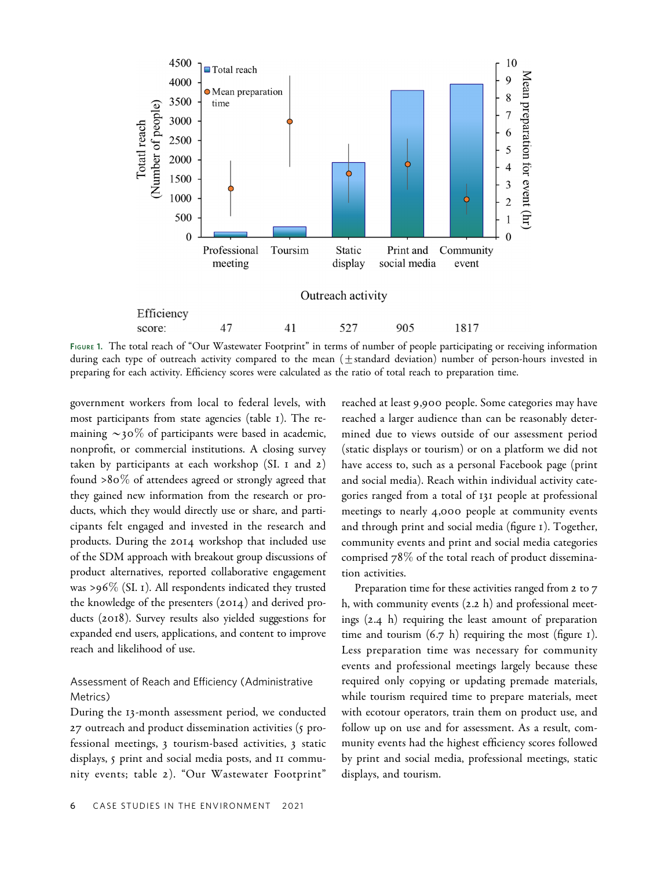

FIGURE 1. The total reach of "Our Wastewater Footprint" in terms of number of people participating or receiving information during each type of outreach activity compared to the mean  $(\pm$ standard deviation) number of person-hours invested in preparing for each activity. Efficiency scores were calculated as the ratio of total reach to preparation time.

government workers from local to federal levels, with most participants from state agencies (table 1). The remaining  $\sim$ 30% of participants were based in academic, nonprofit, or commercial institutions. A closing survey taken by participants at each workshop (SI. 1 and 2) found >80% of attendees agreed or strongly agreed that they gained new information from the research or products, which they would directly use or share, and participants felt engaged and invested in the research and products. During the 2014 workshop that included use of the SDM approach with breakout group discussions of product alternatives, reported collaborative engagement was >96% (SI. 1). All respondents indicated they trusted the knowledge of the presenters (2014) and derived products (2018). Survey results also yielded suggestions for expanded end users, applications, and content to improve reach and likelihood of use.

# Assessment of Reach and Efficiency (Administrative Metrics)

During the 13-month assessment period, we conducted 27 outreach and product dissemination activities (5 professional meetings, 3 tourism-based activities, 3 static displays, 5 print and social media posts, and 11 community events; table 2). "Our Wastewater Footprint"

reached at least 9,900 people. Some categories may have reached a larger audience than can be reasonably determined due to views outside of our assessment period (static displays or tourism) or on a platform we did not have access to, such as a personal Facebook page (print and social media). Reach within individual activity categories ranged from a total of 131 people at professional meetings to nearly 4,000 people at community events and through print and social media (figure 1). Together, community events and print and social media categories comprised 78% of the total reach of product dissemination activities.

Preparation time for these activities ranged from 2 to 7 h, with community events (2.2 h) and professional meetings (2.4 h) requiring the least amount of preparation time and tourism  $(6.7 \text{ h})$  requiring the most (figure 1). Less preparation time was necessary for community events and professional meetings largely because these required only copying or updating premade materials, while tourism required time to prepare materials, meet with ecotour operators, train them on product use, and follow up on use and for assessment. As a result, community events had the highest efficiency scores followed by print and social media, professional meetings, static displays, and tourism.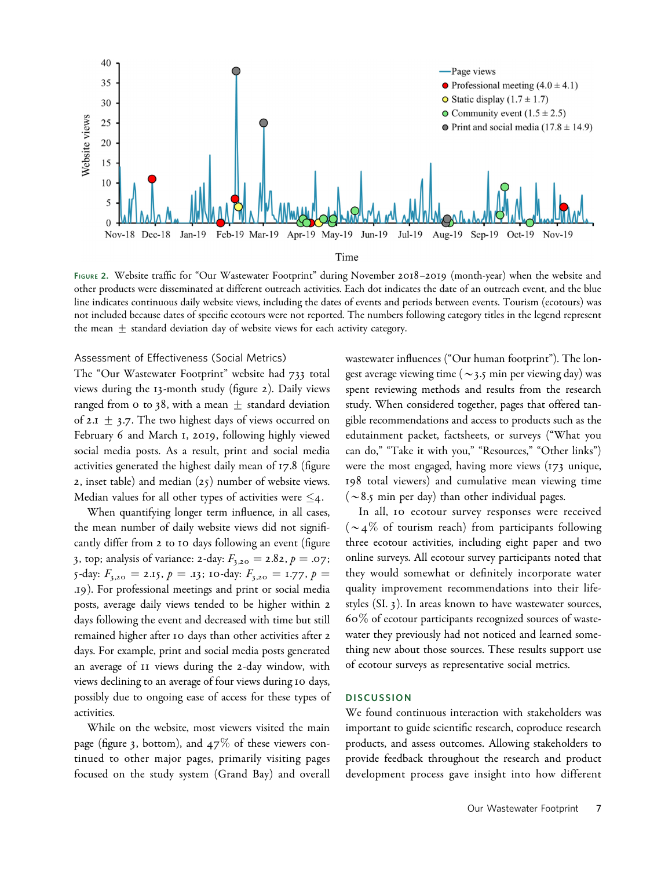

FIGURE 2. Website traffic for "Our Wastewater Footprint" during November 2018–2019 (month-year) when the website and other products were disseminated at different outreach activities. Each dot indicates the date of an outreach event, and the blue line indicates continuous daily website views, including the dates of events and periods between events. Tourism (ecotours) was not included because dates of specific ecotours were not reported. The numbers following category titles in the legend represent the mean  $\pm$  standard deviation day of website views for each activity category.

# Assessment of Effectiveness (Social Metrics)

The "Our Wastewater Footprint" website had 733 total views during the 13-month study (figure 2). Daily views ranged from 0 to 38, with a mean  $\pm$  standard deviation of 2.1  $\pm$  3.7. The two highest days of views occurred on February 6 and March 1, 2019, following highly viewed social media posts. As a result, print and social media activities generated the highest daily mean of 17.8 (figure 2, inset table) and median (25) number of website views. Median values for all other types of activities were  $\leq_4$ .

When quantifying longer term influence, in all cases, the mean number of daily website views did not significantly differ from 2 to 10 days following an event (figure 3, top; analysis of variance: 2-day:  $F_{3,20} = 2.82, p = .07;$ 5-day:  $F_{3,20} = 2.15$ ,  $p = .13$ ; 10-day:  $F_{3,20} = 1.77$ ,  $p =$ .19). For professional meetings and print or social media posts, average daily views tended to be higher within 2 days following the event and decreased with time but still remained higher after 10 days than other activities after 2 days. For example, print and social media posts generated an average of 11 views during the 2-day window, with views declining to an average of four views during 10 days, possibly due to ongoing ease of access for these types of activities.

While on the website, most viewers visited the main page (figure 3, bottom), and  $47\%$  of these viewers continued to other major pages, primarily visiting pages focused on the study system (Grand Bay) and overall wastewater influences ("Our human footprint"). The longest average viewing time ( $\sim$ 3.5 min per viewing day) was spent reviewing methods and results from the research study. When considered together, pages that offered tangible recommendations and access to products such as the edutainment packet, factsheets, or surveys ("What you can do," "Take it with you," "Resources," "Other links") were the most engaged, having more views (173 unique, 198 total viewers) and cumulative mean viewing time ( $\sim$ 8.5 min per day) than other individual pages.

In all, 10 ecotour survey responses were received  $(\sim 4\%$  of tourism reach) from participants following three ecotour activities, including eight paper and two online surveys. All ecotour survey participants noted that they would somewhat or definitely incorporate water quality improvement recommendations into their lifestyles (SI. 3). In areas known to have wastewater sources, 60% of ecotour participants recognized sources of wastewater they previously had not noticed and learned something new about those sources. These results support use of ecotour surveys as representative social metrics.

#### **DISCUSSION**

We found continuous interaction with stakeholders was important to guide scientific research, coproduce research products, and assess outcomes. Allowing stakeholders to provide feedback throughout the research and product development process gave insight into how different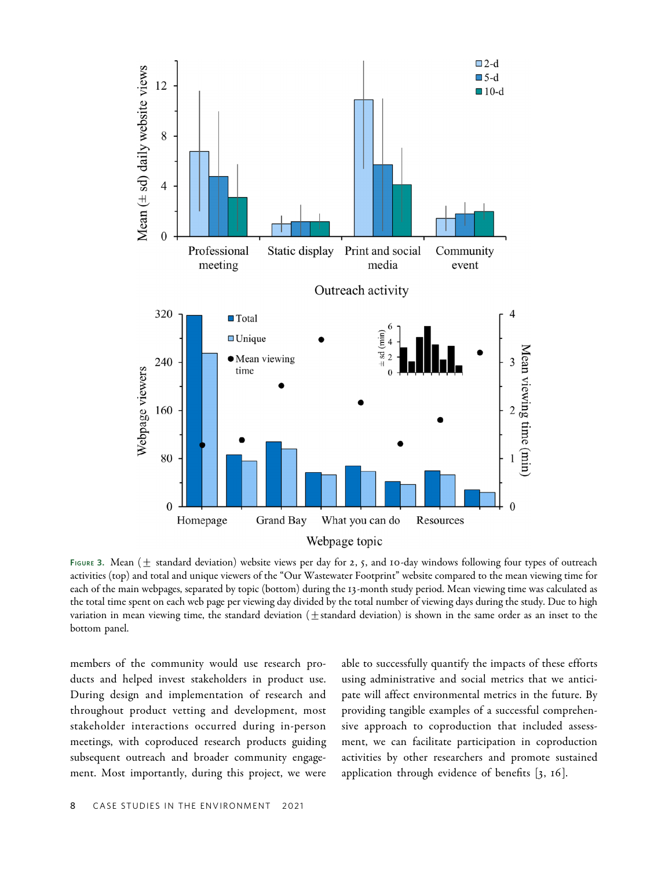

FIGURE 3. Mean ( $\pm$  standard deviation) website views per day for 2, 5, and 10-day windows following four types of outreach activities (top) and total and unique viewers of the "Our Wastewater Footprint" website compared to the mean viewing time for each of the main webpages, separated by topic (bottom) during the 13-month study period. Mean viewing time was calculated as the total time spent on each web page per viewing day divided by the total number of viewing days during the study. Due to high variation in mean viewing time, the standard deviation  $(\pm$  standard deviation) is shown in the same order as an inset to the bottom panel.

members of the community would use research products and helped invest stakeholders in product use. During design and implementation of research and throughout product vetting and development, most stakeholder interactions occurred during in-person meetings, with coproduced research products guiding subsequent outreach and broader community engagement. Most importantly, during this project, we were

able to successfully quantify the impacts of these efforts using administrative and social metrics that we anticipate will affect environmental metrics in the future. By providing tangible examples of a successful comprehensive approach to coproduction that included assessment, we can facilitate participation in coproduction activities by other researchers and promote sustained application through evidence of benefits [3, 16].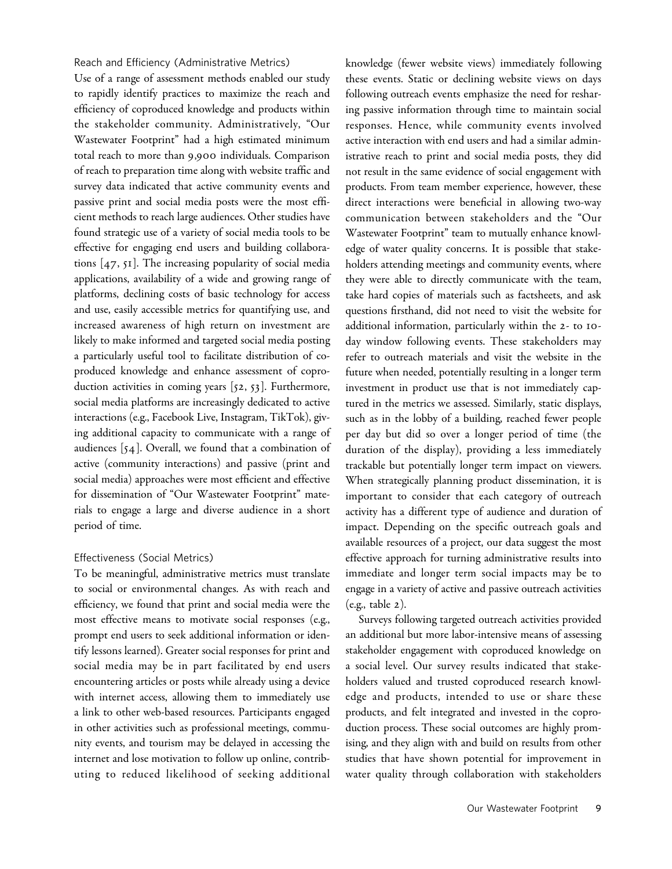Reach and Efficiency (Administrative Metrics)

Use of a range of assessment methods enabled our study to rapidly identify practices to maximize the reach and efficiency of coproduced knowledge and products within the stakeholder community. Administratively, "Our Wastewater Footprint" had a high estimated minimum total reach to more than 9,900 individuals. Comparison of reach to preparation time along with website traffic and survey data indicated that active community events and passive print and social media posts were the most efficient methods to reach large audiences. Other studies have found strategic use of a variety of social media tools to be effective for engaging end users and building collaborations [47, 51]. The increasing popularity of social media applications, availability of a wide and growing range of platforms, declining costs of basic technology for access and use, easily accessible metrics for quantifying use, and increased awareness of high return on investment are likely to make informed and targeted social media posting a particularly useful tool to facilitate distribution of coproduced knowledge and enhance assessment of coproduction activities in coming years [52, 53]. Furthermore, social media platforms are increasingly dedicated to active interactions (e.g., Facebook Live, Instagram, TikTok), giving additional capacity to communicate with a range of audiences [54]. Overall, we found that a combination of active (community interactions) and passive (print and social media) approaches were most efficient and effective for dissemination of "Our Wastewater Footprint" materials to engage a large and diverse audience in a short period of time.

# Effectiveness (Social Metrics)

To be meaningful, administrative metrics must translate to social or environmental changes. As with reach and efficiency, we found that print and social media were the most effective means to motivate social responses (e.g., prompt end users to seek additional information or identify lessons learned). Greater social responses for print and social media may be in part facilitated by end users encountering articles or posts while already using a device with internet access, allowing them to immediately use a link to other web-based resources. Participants engaged in other activities such as professional meetings, community events, and tourism may be delayed in accessing the internet and lose motivation to follow up online, contributing to reduced likelihood of seeking additional knowledge (fewer website views) immediately following these events. Static or declining website views on days following outreach events emphasize the need for resharing passive information through time to maintain social responses. Hence, while community events involved active interaction with end users and had a similar administrative reach to print and social media posts, they did not result in the same evidence of social engagement with products. From team member experience, however, these direct interactions were beneficial in allowing two-way communication between stakeholders and the "Our Wastewater Footprint" team to mutually enhance knowledge of water quality concerns. It is possible that stakeholders attending meetings and community events, where they were able to directly communicate with the team, take hard copies of materials such as factsheets, and ask questions firsthand, did not need to visit the website for additional information, particularly within the 2- to 10 day window following events. These stakeholders may refer to outreach materials and visit the website in the future when needed, potentially resulting in a longer term investment in product use that is not immediately captured in the metrics we assessed. Similarly, static displays, such as in the lobby of a building, reached fewer people per day but did so over a longer period of time (the duration of the display), providing a less immediately trackable but potentially longer term impact on viewers. When strategically planning product dissemination, it is important to consider that each category of outreach activity has a different type of audience and duration of impact. Depending on the specific outreach goals and available resources of a project, our data suggest the most effective approach for turning administrative results into immediate and longer term social impacts may be to engage in a variety of active and passive outreach activities (e.g., table 2).

Surveys following targeted outreach activities provided an additional but more labor-intensive means of assessing stakeholder engagement with coproduced knowledge on a social level. Our survey results indicated that stakeholders valued and trusted coproduced research knowledge and products, intended to use or share these products, and felt integrated and invested in the coproduction process. These social outcomes are highly promising, and they align with and build on results from other studies that have shown potential for improvement in water quality through collaboration with stakeholders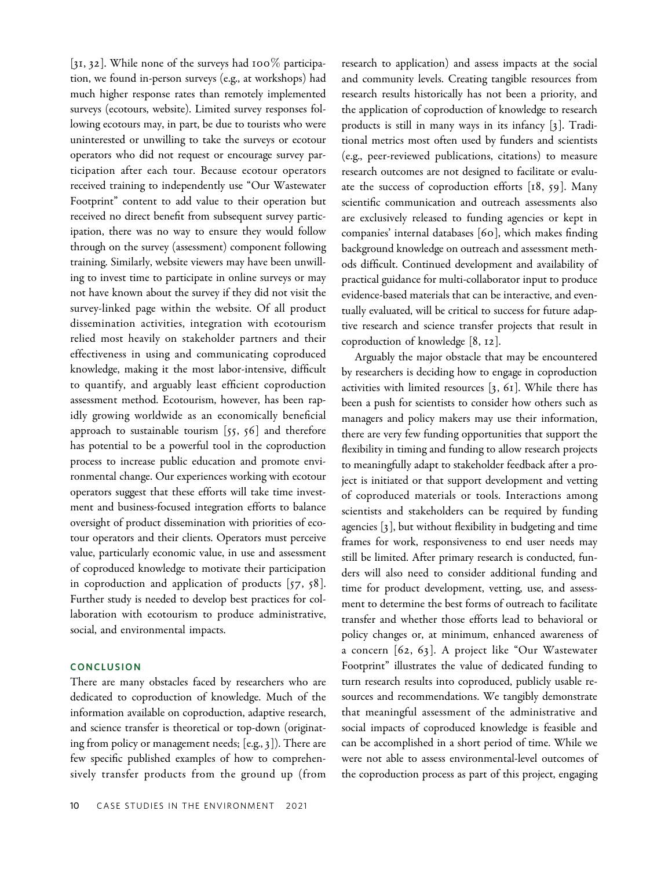[31, 32]. While none of the surveys had 100% participation, we found in-person surveys (e.g., at workshops) had much higher response rates than remotely implemented surveys (ecotours, website). Limited survey responses following ecotours may, in part, be due to tourists who were uninterested or unwilling to take the surveys or ecotour operators who did not request or encourage survey participation after each tour. Because ecotour operators received training to independently use "Our Wastewater Footprint" content to add value to their operation but received no direct benefit from subsequent survey participation, there was no way to ensure they would follow through on the survey (assessment) component following training. Similarly, website viewers may have been unwilling to invest time to participate in online surveys or may not have known about the survey if they did not visit the survey-linked page within the website. Of all product dissemination activities, integration with ecotourism relied most heavily on stakeholder partners and their effectiveness in using and communicating coproduced knowledge, making it the most labor-intensive, difficult to quantify, and arguably least efficient coproduction assessment method. Ecotourism, however, has been rapidly growing worldwide as an economically beneficial approach to sustainable tourism  $[55, 56]$  and therefore has potential to be a powerful tool in the coproduction process to increase public education and promote environmental change. Our experiences working with ecotour operators suggest that these efforts will take time investment and business-focused integration efforts to balance oversight of product dissemination with priorities of ecotour operators and their clients. Operators must perceive value, particularly economic value, in use and assessment of coproduced knowledge to motivate their participation in coproduction and application of products [57, 58]. Further study is needed to develop best practices for collaboration with ecotourism to produce administrative, social, and environmental impacts.

### **CONCLUSION**

There are many obstacles faced by researchers who are dedicated to coproduction of knowledge. Much of the information available on coproduction, adaptive research, and science transfer is theoretical or top-down (originating from policy or management needs; [e.g., 3]). There are few specific published examples of how to comprehensively transfer products from the ground up (from research to application) and assess impacts at the social and community levels. Creating tangible resources from research results historically has not been a priority, and the application of coproduction of knowledge to research products is still in many ways in its infancy [3]. Traditional metrics most often used by funders and scientists (e.g., peer-reviewed publications, citations) to measure research outcomes are not designed to facilitate or evaluate the success of coproduction efforts [18, 59]. Many scientific communication and outreach assessments also are exclusively released to funding agencies or kept in companies' internal databases [60], which makes finding background knowledge on outreach and assessment methods difficult. Continued development and availability of practical guidance for multi-collaborator input to produce evidence-based materials that can be interactive, and eventually evaluated, will be critical to success for future adaptive research and science transfer projects that result in coproduction of knowledge [8, 12].

Arguably the major obstacle that may be encountered by researchers is deciding how to engage in coproduction activities with limited resources [3, 61]. While there has been a push for scientists to consider how others such as managers and policy makers may use their information, there are very few funding opportunities that support the flexibility in timing and funding to allow research projects to meaningfully adapt to stakeholder feedback after a project is initiated or that support development and vetting of coproduced materials or tools. Interactions among scientists and stakeholders can be required by funding agencies [3], but without flexibility in budgeting and time frames for work, responsiveness to end user needs may still be limited. After primary research is conducted, funders will also need to consider additional funding and time for product development, vetting, use, and assessment to determine the best forms of outreach to facilitate transfer and whether those efforts lead to behavioral or policy changes or, at minimum, enhanced awareness of a concern [62, 63]. A project like "Our Wastewater Footprint" illustrates the value of dedicated funding to turn research results into coproduced, publicly usable resources and recommendations. We tangibly demonstrate that meaningful assessment of the administrative and social impacts of coproduced knowledge is feasible and can be accomplished in a short period of time. While we were not able to assess environmental-level outcomes of the coproduction process as part of this project, engaging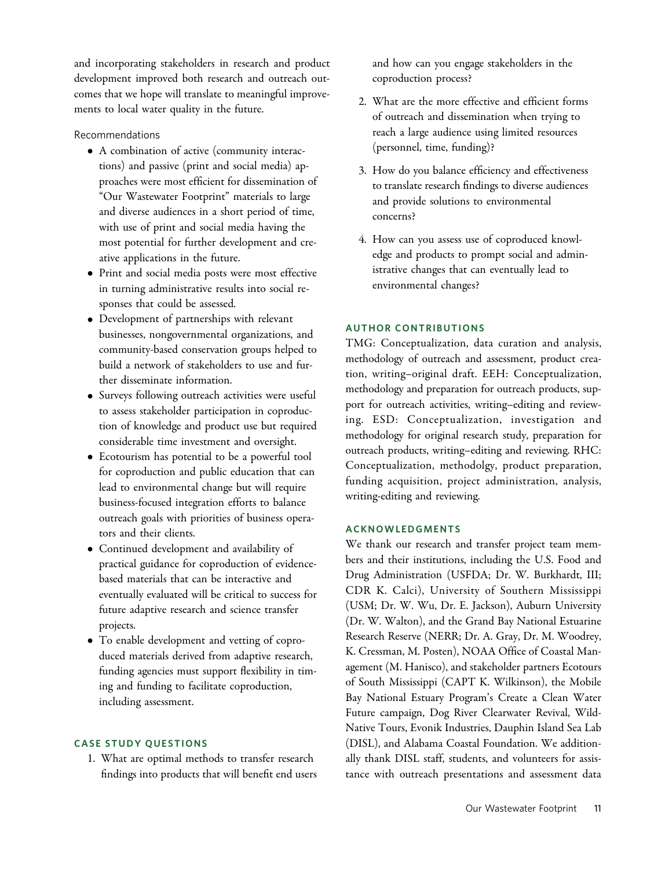and incorporating stakeholders in research and product development improved both research and outreach outcomes that we hope will translate to meaningful improvements to local water quality in the future.

# Recommendations

- A combination of active (community interactions) and passive (print and social media) approaches were most efficient for dissemination of "Our Wastewater Footprint" materials to large and diverse audiences in a short period of time, with use of print and social media having the most potential for further development and creative applications in the future.
- Print and social media posts were most effective in turning administrative results into social responses that could be assessed.
- Development of partnerships with relevant businesses, nongovernmental organizations, and community-based conservation groups helped to build a network of stakeholders to use and further disseminate information.
- Surveys following outreach activities were useful to assess stakeholder participation in coproduction of knowledge and product use but required considerable time investment and oversight.
- Ecotourism has potential to be a powerful tool for coproduction and public education that can lead to environmental change but will require business-focused integration efforts to balance outreach goals with priorities of business operators and their clients.
- Continued development and availability of practical guidance for coproduction of evidencebased materials that can be interactive and eventually evaluated will be critical to success for future adaptive research and science transfer projects.
- To enable development and vetting of coproduced materials derived from adaptive research, funding agencies must support flexibility in timing and funding to facilitate coproduction, including assessment.

# CASE STUDY QUESTIONS

1. What are optimal methods to transfer research findings into products that will benefit end users

and how can you engage stakeholders in the coproduction process?

- 2. What are the more effective and efficient forms of outreach and dissemination when trying to reach a large audience using limited resources (personnel, time, funding)?
- 3. How do you balance efficiency and effectiveness to translate research findings to diverse audiences and provide solutions to environmental concerns?
- 4. How can you assess use of coproduced knowledge and products to prompt social and administrative changes that can eventually lead to environmental changes?

# AUTHOR CONTRIBUTIONS

TMG: Conceptualization, data curation and analysis, methodology of outreach and assessment, product creation, writing–original draft. EEH: Conceptualization, methodology and preparation for outreach products, support for outreach activities, writing–editing and reviewing. ESD: Conceptualization, investigation and methodology for original research study, preparation for outreach products, writing–editing and reviewing. RHC: Conceptualization, methodolgy, product preparation, funding acquisition, project administration, analysis, writing-editing and reviewing.

# ACKNOWLEDGMENTS

We thank our research and transfer project team members and their institutions, including the U.S. Food and Drug Administration (USFDA; Dr. W. Burkhardt, III; CDR K. Calci), University of Southern Mississippi (USM; Dr. W. Wu, Dr. E. Jackson), Auburn University (Dr. W. Walton), and the Grand Bay National Estuarine Research Reserve (NERR; Dr. A. Gray, Dr. M. Woodrey, K. Cressman, M. Posten), NOAA Office of Coastal Management (M. Hanisco), and stakeholder partners Ecotours of South Mississippi (CAPT K. Wilkinson), the Mobile Bay National Estuary Program's Create a Clean Water Future campaign, Dog River Clearwater Revival, Wild-Native Tours, Evonik Industries, Dauphin Island Sea Lab (DISL), and Alabama Coastal Foundation. We additionally thank DISL staff, students, and volunteers for assistance with outreach presentations and assessment data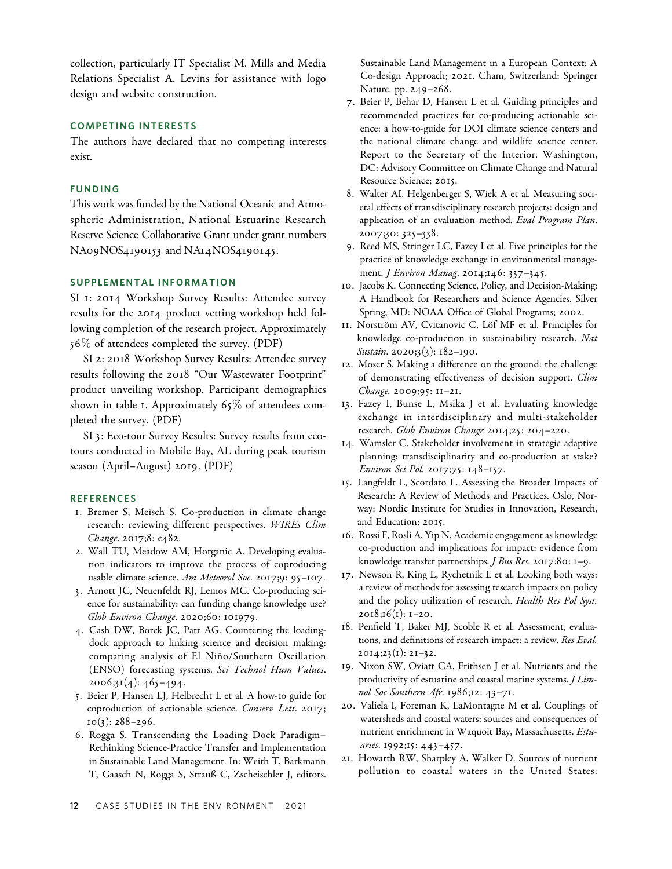collection, particularly IT Specialist M. Mills and Media Relations Specialist A. Levins for assistance with logo design and website construction.

# COMPETING INTERESTS

The authors have declared that no competing interests exist.

#### FUNDING

This work was funded by the National Oceanic and Atmospheric Administration, National Estuarine Research Reserve Science Collaborative Grant under grant numbers NA09NOS4190153 and NA14NOS4190145.

# SUPPLEMENTAL INFORMATION

SI 1: 2014 Workshop Survey Results: Attendee survey results for the 2014 product vetting workshop held following completion of the research project. Approximately 56% of attendees completed the survey. (PDF)

SI 2: 2018 Workshop Survey Results: Attendee survey results following the 2018 "Our Wastewater Footprint" product unveiling workshop. Participant demographics shown in table 1. Approximately 65% of attendees completed the survey. (PDF)

SI 3: Eco-tour Survey Results: Survey results from ecotours conducted in Mobile Bay, AL during peak tourism season (April–August) 2019. (PDF)

#### **REFERENCES**

- 1. Bremer S, Meisch S. Co-production in climate change research: reviewing different perspectives. WIREs Clim Change. 2017;8: e482.
- 2. Wall TU, Meadow AM, Horganic A. Developing evaluation indicators to improve the process of coproducing usable climate science. Am Meteorol Soc. 2017;9: 95-107.
- 3. Arnott JC, Neuenfeldt RJ, Lemos MC. Co-producing science for sustainability: can funding change knowledge use? Glob Environ Change. 2020;60: 101979.
- 4. Cash DW, Borck JC, Patt AG. Countering the loadingdock approach to linking science and decision making: comparing analysis of El Niño/Southern Oscillation (ENSO) forecasting systems. Sci Technol Hum Values.  $2006;31(4):465-494.$
- 5. Beier P, Hansen LJ, Helbrecht L et al. A how-to guide for coproduction of actionable science. Conserv Lett. 2017;  $10(3)$ : 288–296.
- 6. Rogga S. Transcending the Loading Dock Paradigm– Rethinking Science-Practice Transfer and Implementation in Sustainable Land Management. In: Weith T, Barkmann T, Gaasch N, Rogga S, Strauß C, Zscheischler J, editors.

Sustainable Land Management in a European Context: A Co-design Approach; 2021. Cham, Switzerland: Springer Nature. pp. 249–268.

- 7. Beier P, Behar D, Hansen L et al. Guiding principles and recommended practices for co-producing actionable science: a how-to-guide for DOI climate science centers and the national climate change and wildlife science center. Report to the Secretary of the Interior. Washington, DC: Advisory Committee on Climate Change and Natural Resource Science; 2015.
- 8. Walter AI, Helgenberger S, Wiek A et al. Measuring societal effects of transdisciplinary research projects: design and application of an evaluation method. Eval Program Plan. 2007;30: 325–338.
- 9. Reed MS, Stringer LC, Fazey I et al. Five principles for the practice of knowledge exchange in environmental management. *J Environ Manag*. 2014;146: 337-345.
- 10. Jacobs K. Connecting Science, Policy, and Decision-Making: A Handbook for Researchers and Science Agencies. Silver Spring, MD: NOAA Office of Global Programs; 2002.
- 11. Norström AV, Cvitanovic C, Löf MF et al. Principles for knowledge co-production in sustainability research. Nat Sustain. 2020;3(3): 182-190.
- 12. Moser S. Making a difference on the ground: the challenge of demonstrating effectiveness of decision support. Clim Change. 2009;95: 11–21.
- 13. Fazey I, Bunse L, Msika J et al. Evaluating knowledge exchange in interdisciplinary and multi-stakeholder research. Glob Environ Change 2014;25: 204–220.
- 14. Wamsler C. Stakeholder involvement in strategic adaptive planning: transdisciplinarity and co-production at stake? Environ Sci Pol. 2017;75: 148–157.
- 15. Langfeldt L, Scordato L. Assessing the Broader Impacts of Research: A Review of Methods and Practices. Oslo, Norway: Nordic Institute for Studies in Innovation, Research, and Education; 2015.
- 16. Rossi F, Rosli A, Yip N. Academic engagement as knowledge co-production and implications for impact: evidence from knowledge transfer partnerships. J Bus Res. 2017;80: 1–9.
- 17. Newson R, King L, Rychetnik L et al. Looking both ways: a review of methods for assessing research impacts on policy and the policy utilization of research. Health Res Pol Syst.  $2018;16(1): 1-20.$
- 18. Penfield T, Baker MJ, Scoble R et al. Assessment, evaluations, and definitions of research impact: a review. Res Eval.  $20I4;23(I): 2I-32.$
- 19. Nixon SW, Oviatt CA, Frithsen J et al. Nutrients and the productivity of estuarine and coastal marine systems. *J Lim*nol Soc Southern Afr. 1986;12: 43–71.
- 20. Valiela I, Foreman K, LaMontagne M et al. Couplings of watersheds and coastal waters: sources and consequences of nutrient enrichment in Waquoit Bay, Massachusetts. Estuaries. 1992;15: 443–457.
- 21. Howarth RW, Sharpley A, Walker D. Sources of nutrient pollution to coastal waters in the United States: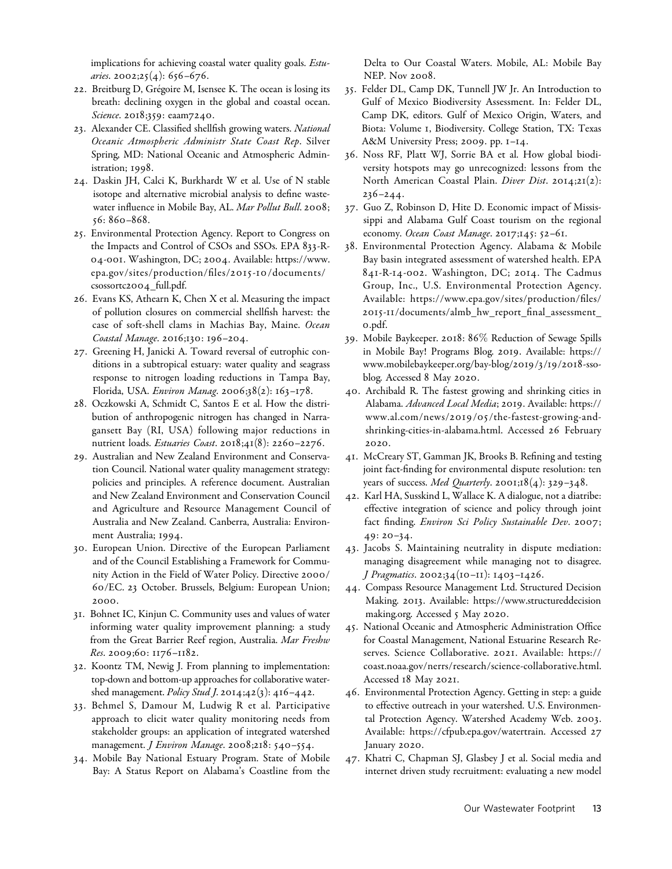implications for achieving coastal water quality goals. *Estu*aries. 2002;25(4): 656-676.

- 22. Breitburg D, Grégoire M, Isensee K. The ocean is losing its breath: declining oxygen in the global and coastal ocean. Science. 2018;359: eaam7240.
- 23. Alexander CE. Classified shellfish growing waters. National Oceanic Atmospheric Administr State Coast Rep. Silver Spring, MD: National Oceanic and Atmospheric Administration; 1998.
- 24. Daskin JH, Calci K, Burkhardt W et al. Use of N stable isotope and alternative microbial analysis to define wastewater influence in Mobile Bay, AL. Mar Pollut Bull. 2008; 56: 860–868.
- 25. Environmental Protection Agency. Report to Congress on the Impacts and Control of CSOs and SSOs. EPA 833-R-04-001. Washington, DC; 2004. Available: [https://www.](https://www.epa.gov/sites/production/files/2015-10/documents/csossortc2004_full.pdf) [epa.gov/sites/production/files/](https://www.epa.gov/sites/production/files/2015-10/documents/csossortc2004_full.pdf)2015-10/documents/ [csossortc](https://www.epa.gov/sites/production/files/2015-10/documents/csossortc2004_full.pdf)2004\_full.pdf.
- 26. Evans KS, Athearn K, Chen X et al. Measuring the impact of pollution closures on commercial shellfish harvest: the case of soft-shell clams in Machias Bay, Maine. Ocean Coastal Manage. 2016;130: 196–204.
- 27. Greening H, Janicki A. Toward reversal of eutrophic conditions in a subtropical estuary: water quality and seagrass response to nitrogen loading reductions in Tampa Bay, Florida, USA. Environ Manag. 2006;38(2): 163–178.
- 28. Oczkowski A, Schmidt C, Santos E et al. How the distribution of anthropogenic nitrogen has changed in Narragansett Bay (RI, USA) following major reductions in nutrient loads. *Estuaries Coast.* 2018;41(8): 2260-2276.
- 29. Australian and New Zealand Environment and Conservation Council. National water quality management strategy: policies and principles. A reference document. Australian and New Zealand Environment and Conservation Council and Agriculture and Resource Management Council of Australia and New Zealand. Canberra, Australia: Environment Australia; 1994.
- 30. European Union. Directive of the European Parliament and of the Council Establishing a Framework for Community Action in the Field of Water Policy. Directive 2000/ 60/EC. 23 October. Brussels, Belgium: European Union; 2000.
- 31. Bohnet IC, Kinjun C. Community uses and values of water informing water quality improvement planning: a study from the Great Barrier Reef region, Australia. Mar Freshw Res. 2009;60: 1176–1182.
- 32. Koontz TM, Newig J. From planning to implementation: top-down and bottom-up approaches for collaborative watershed management. Policy Stud J. 2014;42(3): 416-442.
- 33. Behmel S, Damour M, Ludwig R et al. Participative approach to elicit water quality monitoring needs from stakeholder groups: an application of integrated watershed management. *J Environ Manage*. 2008;218: 540-554.
- 34. Mobile Bay National Estuary Program. State of Mobile Bay: A Status Report on Alabama's Coastline from the

Delta to Our Coastal Waters. Mobile, AL: Mobile Bay NEP. Nov 2008.

- 35. Felder DL, Camp DK, Tunnell JW Jr. An Introduction to Gulf of Mexico Biodiversity Assessment. In: Felder DL, Camp DK, editors. Gulf of Mexico Origin, Waters, and Biota: Volume 1, Biodiversity. College Station, TX: Texas A&M University Press; 2009. pp. 1–14.
- 36. Noss RF, Platt WJ, Sorrie BA et al. How global biodiversity hotspots may go unrecognized: lessons from the North American Coastal Plain. *Diver Dist*. 2014;21(2): 236–244.
- 37. Guo Z, Robinson D, Hite D. Economic impact of Mississippi and Alabama Gulf Coast tourism on the regional economy. Ocean Coast Manage. 2017;145: 52-61.
- 38. Environmental Protection Agency. Alabama & Mobile Bay basin integrated assessment of watershed health. EPA 841-R-14-002. Washington, DC; 2014. The Cadmus Group, Inc., U.S. Environmental Protection Agency. Available: [https://www.epa.gov/sites/production/files/](https://www.epa.gov/sites/production/files/2015-11/documents/almb_hw_report_final_assessment_0.pdf) 2015-1 1[/documents/almb\\_hw\\_report\\_final\\_assessment\\_](https://www.epa.gov/sites/production/files/2015-11/documents/almb_hw_report_final_assessment_0.pdf) 0[.pdf](https://www.epa.gov/sites/production/files/2015-11/documents/almb_hw_report_final_assessment_0.pdf).
- 39. Mobile Baykeeper. 2018: 86% Reduction of Sewage Spills in Mobile Bay! Programs Blog. 2019. Available: [https://](https://www.mobilebaykeeper.org/bay-blog/2019/3/19/2018-sso-blog) [www.mobilebaykeeper.org/bay-blog/](https://www.mobilebaykeeper.org/bay-blog/2019/3/19/2018-sso-blog)2019/3/19/2018-sso[blog.](https://www.mobilebaykeeper.org/bay-blog/2019/3/19/2018-sso-blog) Accessed 8 May 2020.
- 40. Archibald R. The fastest growing and shrinking cities in Alabama. Advanced Local Media; 2019. Available: [https://](https://www.al.com/news/2019/05/the-fastest-growing-and-shrinking-cities-in-alabama.html) www.al.com/news/2019/0 5[/the-fastest-growing-and](https://www.al.com/news/2019/05/the-fastest-growing-and-shrinking-cities-in-alabama.html)[shrinking-cities-in-alabama.html](https://www.al.com/news/2019/05/the-fastest-growing-and-shrinking-cities-in-alabama.html). Accessed 26 February 2020.
- 41. McCreary ST, Gamman JK, Brooks B. Refining and testing joint fact-finding for environmental dispute resolution: ten years of success. Med Quarterly. 2001;18(4): 329-348.
- 42. Karl HA, Susskind L, Wallace K. A dialogue, not a diatribe: effective integration of science and policy through joint fact finding. Environ Sci Policy Sustainable Dev. 2007; 49: 20–34.
- 43. Jacobs S. Maintaining neutrality in dispute mediation: managing disagreement while managing not to disagree. J Pragmatics. 2002;34(10–11): 1403–1426.
- 44. Compass Resource Management Ltd. Structured Decision Making. 2013. Available: [https://www.structureddecision](https://www.structureddecisionmaking.org) [making.org](https://www.structureddecisionmaking.org). Accessed 5 May 2020.
- 45. National Oceanic and Atmospheric Administration Office for Coastal Management, National Estuarine Research Reserves. Science Collaborative. 2021. Available: [https://](https://coast.noaa.gov/nerrs/research/science-collaborative.html) [coast.noaa.gov/nerrs/research/science-collaborative.html](https://coast.noaa.gov/nerrs/research/science-collaborative.html). Accessed 18 May 2021.
- 46. Environmental Protection Agency. Getting in step: a guide to effective outreach in your watershed. U.S. Environmental Protection Agency. Watershed Academy Web. 2003. Available: [https://cfpub.epa.gov/watertrain.](https://cfpub.epa.gov/watertrain) Accessed 27 January 2020.
- 47. Khatri C, Chapman SJ, Glasbey J et al. Social media and internet driven study recruitment: evaluating a new model